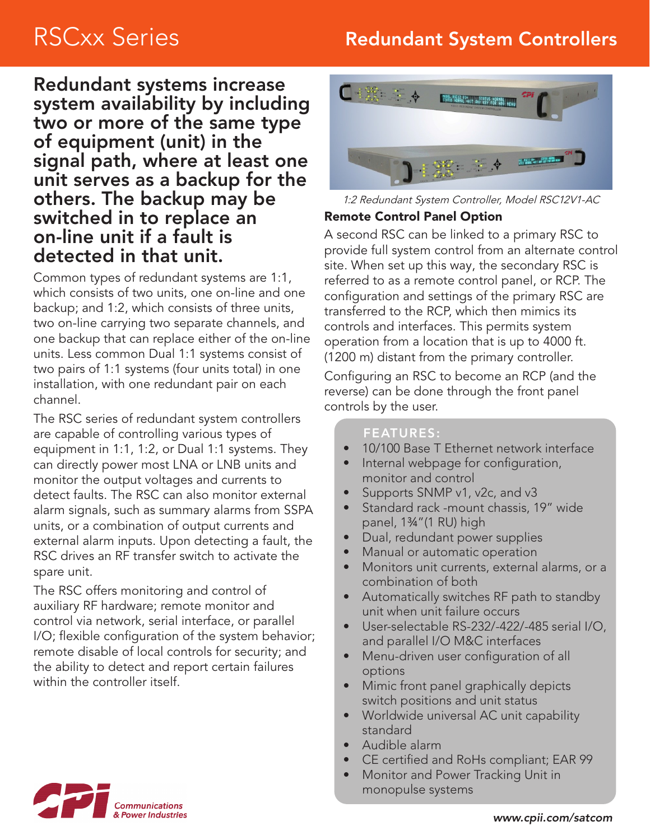# RSCxx Series **Redundant System Controllers**

Redundant systems increase system availability by including two or more of the same type of equipment (unit) in the signal path, where at least one unit serves as a backup for the others. The backup may be switched in to replace an on-line unit if a fault is detected in that unit.

Common types of redundant systems are 1:1, which consists of two units, one on-line and one backup; and 1:2, which consists of three units, two on-line carrying two separate channels, and one backup that can replace either of the on-line units. Less common Dual 1:1 systems consist of two pairs of 1:1 systems (four units total) in one installation, with one redundant pair on each channel.

The RSC series of redundant system controllers are capable of controlling various types of equipment in 1:1, 1:2, or Dual 1:1 systems. They can directly power most LNA or LNB units and monitor the output voltages and currents to detect faults. The RSC can also monitor external alarm signals, such as summary alarms from SSPA units, or a combination of output currents and external alarm inputs. Upon detecting a fault, the RSC drives an RF transfer switch to activate the spare unit.

The RSC offers monitoring and control of auxiliary RF hardware; remote monitor and control via network, serial interface, or parallel I/O; flexible configuration of the system behavior; remote disable of local controls for security; and the ability to detect and report certain failures within the controller itself.



1:2 Redundant System Controller, Model RSC12V1-AC

## Remote Control Panel Option

A second RSC can be linked to a primary RSC to provide full system control from an alternate control site. When set up this way, the secondary RSC is referred to as a remote control panel, or RCP. The configuration and settings of the primary RSC are transferred to the RCP, which then mimics its controls and interfaces. This permits system operation from a location that is up to 4000 ft. (1200 m) distant from the primary controller.

Configuring an RSC to become an RCP (and the reverse) can be done through the front panel controls by the user.

#### FEATURES:

- 10/100 Base T Ethernet network interface
- Internal webpage for configuration, monitor and control
- Supports SNMP v1, v2c, and v3
- Standard rack -mount chassis, 19" wide panel, 1¾"(1 RU) high
- Dual, redundant power supplies
- Manual or automatic operation
- Monitors unit currents, external alarms, or a combination of both
- Automatically switches RF path to standby unit when unit failure occurs
- User-selectable RS-232/-422/-485 serial I/O, and parallel I/O M&C interfaces
- Menu-driven user configuration of all options
- Mimic front panel graphically depicts switch positions and unit status
- Worldwide universal AC unit capability standard
- Audible alarm
- CE certified and RoHs compliant; EAR 99
- Monitor and Power Tracking Unit in monopulse systems

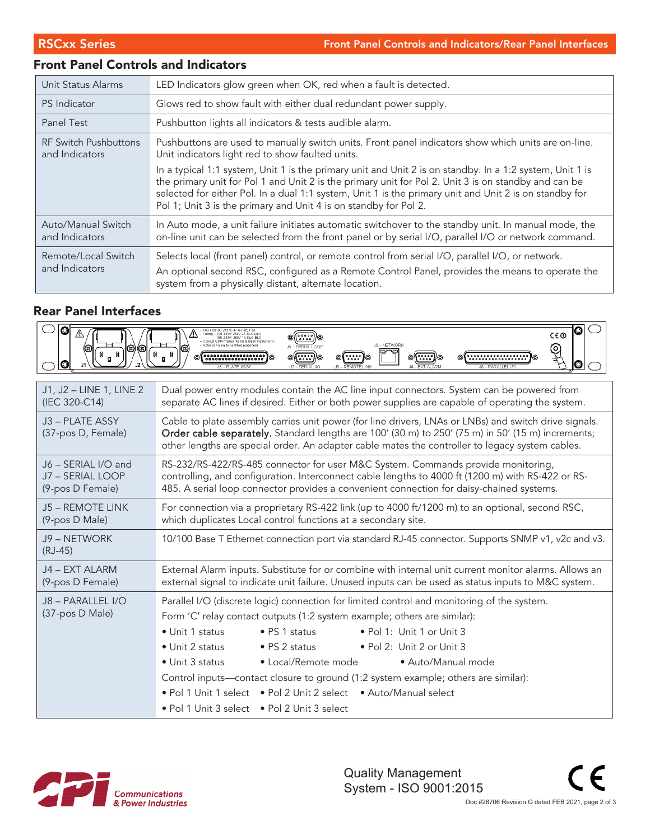## Front Panel Controls and Indicators

| LED Indicators glow green when OK, red when a fault is detected.<br>Unit Status Alarms |                                                                                                                                                                                                                                                                                                                                                                                                |
|----------------------------------------------------------------------------------------|------------------------------------------------------------------------------------------------------------------------------------------------------------------------------------------------------------------------------------------------------------------------------------------------------------------------------------------------------------------------------------------------|
| <b>PS</b> Indicator                                                                    | Glows red to show fault with either dual redundant power supply.                                                                                                                                                                                                                                                                                                                               |
| Panel Test                                                                             | Pushbutton lights all indicators & tests audible alarm.                                                                                                                                                                                                                                                                                                                                        |
| <b>RF Switch Pushbuttons</b><br>and Indicators                                         | Pushbuttons are used to manually switch units. Front panel indicators show which units are on-line.<br>Unit indicators light red to show faulted units.                                                                                                                                                                                                                                        |
|                                                                                        | In a typical 1:1 system, Unit 1 is the primary unit and Unit 2 is on standby. In a 1:2 system, Unit 1 is<br>the primary unit for Pol 1 and Unit 2 is the primary unit for Pol 2. Unit 3 is on standby and can be<br>selected for either Pol. In a dual 1:1 system, Unit 1 is the primary unit and Unit 2 is on standby for<br>Pol 1; Unit 3 is the primary and Unit 4 is on standby for Pol 2. |
| Auto/Manual Switch<br>and Indicators                                                   | In Auto mode, a unit failure initiates automatic switchover to the standby unit. In manual mode, the<br>on-line unit can be selected from the front panel or by serial I/O, parallel I/O or network command.                                                                                                                                                                                   |
| Remote/Local Switch<br>and Indicators                                                  | Selects local (front panel) control, or remote control from serial I/O, parallel I/O, or network.<br>An optional second RSC, configured as a Remote Control Panel, provides the means to operate the<br>system from a physically distant, alternate location.                                                                                                                                  |

#### Rear Panel Interfaces

| $ \mathbf{O} $<br>$\mathbb{A}$<br>O3)<br>Ø | ◎<br>100-135/180-240 V: 47-83 Hz: 1.5<br>- Fusing - 100-135V: 250V 2A SLO-BLC<br>$C \in \mathbb{O}$<br>$\circ$ ( $\circ$ $\circ$ $\circ$ )) $\circ$<br>180-248V: 250V 1A SLO-BLO<br>- Consult OAM manual for installation instructions<br>J9 - NETWORK<br><b>I6 - SERIAL LOOP</b><br>$\mathbb{Q}$<br>(3)<br>o( <b>::::</b> )]o<br><br>⊚<br>◎<br>.<br>0<br>$17 - SFRIAI$ $170$<br>- FXT ALARM<br><b>6-REMOTE LINK</b>                                                                                                                                                                                      |
|--------------------------------------------|-----------------------------------------------------------------------------------------------------------------------------------------------------------------------------------------------------------------------------------------------------------------------------------------------------------------------------------------------------------------------------------------------------------------------------------------------------------------------------------------------------------------------------------------------------------------------------------------------------------|
| J1, J2 - LINE 1, LINE 2                    | Dual power entry modules contain the AC line input connectors. System can be powered from                                                                                                                                                                                                                                                                                                                                                                                                                                                                                                                 |
| (IEC 320-C14)                              | separate AC lines if desired. Either or both power supplies are capable of operating the system.                                                                                                                                                                                                                                                                                                                                                                                                                                                                                                          |
| J3 - PLATE ASSY<br>(37-pos D, Female)      | Cable to plate assembly carries unit power (for line drivers, LNAs or LNBs) and switch drive signals.<br>Order cable separately. Standard lengths are 100' (30 m) to 250' (75 m) in 50' (15 m) increments;<br>other lengths are special order. An adapter cable mates the controller to legacy system cables.                                                                                                                                                                                                                                                                                             |
| J6 - SERIAL I/O and                        | RS-232/RS-422/RS-485 connector for user M&C System. Commands provide monitoring,                                                                                                                                                                                                                                                                                                                                                                                                                                                                                                                          |
| J7 - SERIAL LOOP                           | controlling, and configuration. Interconnect cable lengths to 4000 ft (1200 m) with RS-422 or RS-                                                                                                                                                                                                                                                                                                                                                                                                                                                                                                         |
| (9-pos D Female)                           | 485. A serial loop connector provides a convenient connection for daisy-chained systems.                                                                                                                                                                                                                                                                                                                                                                                                                                                                                                                  |
| <b>J5 - REMOTE LINK</b>                    | For connection via a proprietary RS-422 link (up to 4000 ft/1200 m) to an optional, second RSC,                                                                                                                                                                                                                                                                                                                                                                                                                                                                                                           |
| (9-pos D Male)                             | which duplicates Local control functions at a secondary site.                                                                                                                                                                                                                                                                                                                                                                                                                                                                                                                                             |
| J9 - NETWORK<br>$(RJ-45)$                  | 10/100 Base T Ethernet connection port via standard RJ-45 connector. Supports SNMP v1, v2c and v3.                                                                                                                                                                                                                                                                                                                                                                                                                                                                                                        |
| J4 - EXT ALARM                             | External Alarm inputs. Substitute for or combine with internal unit current monitor alarms. Allows an                                                                                                                                                                                                                                                                                                                                                                                                                                                                                                     |
| (9-pos D Female)                           | external signal to indicate unit failure. Unused inputs can be used as status inputs to M&C system.                                                                                                                                                                                                                                                                                                                                                                                                                                                                                                       |
| J8 - PARALLEL I/O<br>(37-pos D Male)       | Parallel I/O (discrete logic) connection for limited control and monitoring of the system.<br>Form 'C' relay contact outputs (1:2 system example; others are similar):<br>. Pol 1: Unit 1 or Unit 3<br>• Unit 1 status<br>$\bullet$ PS 1 status<br>• Unit 2 status<br>$\bullet$ PS 2 status<br>• Pol 2: Unit 2 or Unit 3<br>• Local/Remote mode<br>$\bullet$ Unit 3 status<br>• Auto/Manual mode<br>Control inputs—contact closure to ground (1:2 system example; others are similar):<br>• Pol 1 Unit 1 select • Pol 2 Unit 2 select • Auto/Manual select<br>• Pol 1 Unit 3 select • Pol 2 Unit 3 select |